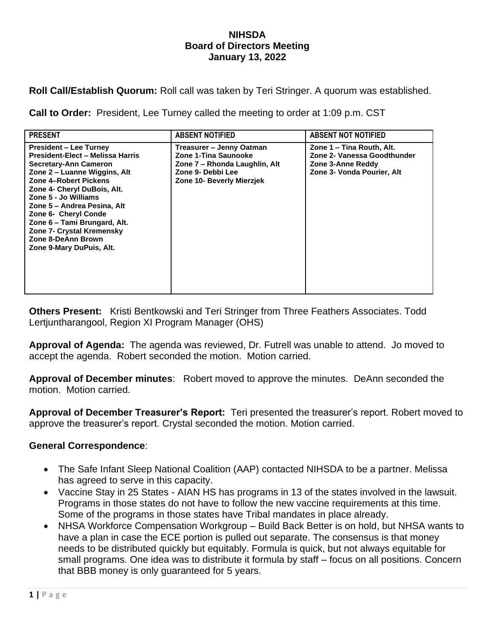## **NIHSDA Board of Directors Meeting January 13, 2022**

**Roll Call/Establish Quorum:** Roll call was taken by Teri Stringer. A quorum was established.

**Call to Order:** President, Lee Turney called the meeting to order at 1:09 p.m. CST

| <b>PRESENT</b>                                                                                                                                                                                                                                                                                                                                                                   | <b>ABSENT NOTIFIED</b>                                                                                                              | <b>ABSENT NOT NOTIFIED</b>                                                                                  |
|----------------------------------------------------------------------------------------------------------------------------------------------------------------------------------------------------------------------------------------------------------------------------------------------------------------------------------------------------------------------------------|-------------------------------------------------------------------------------------------------------------------------------------|-------------------------------------------------------------------------------------------------------------|
| <b>President – Lee Turney</b><br>President-Elect - Melissa Harris<br>Secretary-Ann Cameron<br>Zone 2 – Luanne Wiggins, Alt<br>Zone 4-Robert Pickens<br>Zone 4- Cheryl DuBois, Alt.<br>Zone 5 - Jo Williams<br>Zone 5 – Andrea Pesina, Alt<br>Zone 6- Cheryl Conde<br>Zone 6 - Tami Brungard, Alt.<br>Zone 7- Crystal Kremensky<br>Zone 8-DeAnn Brown<br>Zone 9-Mary DuPuis, Alt. | Treasurer - Jenny Oatman<br>Zone 1-Tina Saunooke<br>Zone 7 – Rhonda Laughlin, Alt<br>Zone 9- Debbi Lee<br>Zone 10- Beverly Mierzjek | Zone 1 – Tina Routh, Alt.<br>Zone 2- Vanessa Goodthunder<br>Zone 3-Anne Reddy<br>Zone 3- Vonda Pourier, Alt |

**Others Present:** Kristi Bentkowski and Teri Stringer from Three Feathers Associates. Todd Lertjuntharangool, Region XI Program Manager (OHS)

**Approval of Agenda:** The agenda was reviewed, Dr. Futrell was unable to attend. Jo moved to accept the agenda. Robert seconded the motion. Motion carried.

**Approval of December minutes**: Robert moved to approve the minutes. DeAnn seconded the motion. Motion carried.

**Approval of December Treasurer's Report:** Teri presented the treasurer's report. Robert moved to approve the treasurer's report. Crystal seconded the motion. Motion carried.

## **General Correspondence**:

- The Safe Infant Sleep National Coalition (AAP) contacted NIHSDA to be a partner. Melissa has agreed to serve in this capacity.
- Vaccine Stay in 25 States AIAN HS has programs in 13 of the states involved in the lawsuit. Programs in those states do not have to follow the new vaccine requirements at this time. Some of the programs in those states have Tribal mandates in place already.
- NHSA Workforce Compensation Workgroup Build Back Better is on hold, but NHSA wants to have a plan in case the ECE portion is pulled out separate. The consensus is that money needs to be distributed quickly but equitably. Formula is quick, but not always equitable for small programs. One idea was to distribute it formula by staff – focus on all positions. Concern that BBB money is only guaranteed for 5 years.